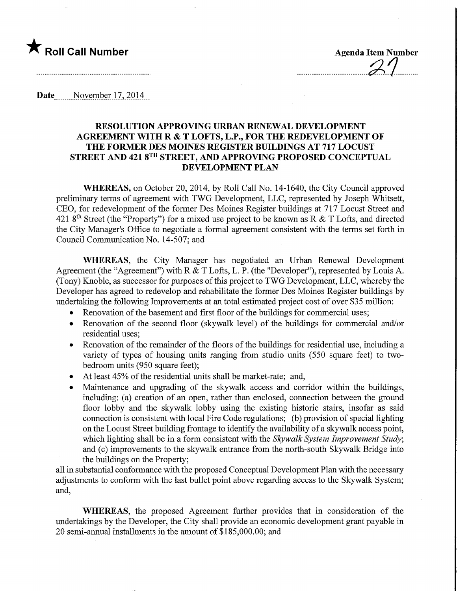## **The Roll Call Number Agents Container Agents Agents Item Number**

Date, November 17, 2014

## RESOLUTION APPROVING URBAN RENEWAL DEVELOPMENT AGREEMENT WITH R & T LOFTS, L.P., FOR THE REDEVELOPMENT OF THE FORMER DES MOINES REGISTER BUILDINGS AT 717 LOCUST STREET AND 421 8TH STREET, AND APPROVING PROPOSED CONCEPTUAL DEVELOPMENT PLAN

WHEREAS, on October 20, 2014, by Roll Call No. 14-1640, the City Council approved preliminary terms of agreement with TWG Development, LLC, represented by Joseph Whitsett, CEO, for redevelopment of the former Des Moines Register buildings at 717 Locust Street and 421 8<sup>th</sup> Street (the "Property") for a mixed use project to be known as R & T Lofts, and directed the City Manager's Office to negotiate a formal agreement consistent with the terms set forth in Council Communication No. 14-507; and

WHEREAS, the City Manager has negotiated an Urban Renewal Development Agreement (the "Agreement") with R & T Lofts, L. P. (the "Developer"), represented by Louis A. (Tony) Knoble, as successor for purposes of this project to TWG Development, LLC, whereby the Developer has agreed to redevelop and rehabilitate the former Des Moines Register buildings by undertaking the following Improvements at an total estimated project cost of over \$35 million:

- Renovation of the basement and first floor of the buildings for commercial uses;
- Renovation of the second floor (skywalk level) of the buildings for commercial and/or residential uses;
- Renovation of the remainder of the floors of the buildings for residential use, including a variety of types of housing units ranging from studio units (550 square feet) to twobedroom units (950 square feet);
- At least 45% of the residential units shall be market-rate; and,
- Maintenance and upgrading of the skywalk access and corridor within the buildings, including: (a) creation of an open, rather than enclosed, connection between the ground floor lobby and the skywalk lobby using the existing historic stairs, insofar as said connection is consistent with local Fire Code regulations; (b) provision of special lighting on the Locust Street building frontage to identify the availability of a skywalk access point, which lighting shall be in a form consistent with the Skywalk System Improvement Study; and (c) improvements to the skywalk entrance from the north-south Skywalk Bridge into the buildings on the Property;

all in substantial conformance with the proposed Conceptual Development Plan with the necessary adjustments to conform with the last bullet point above regarding access to the Skywalk System; and,

WHEREAS, the proposed Agreement further provides that in consideration of the undertakings by the Developer, the City shall provide an economic development grant payable in 20 semi-annual installments in the amount of \$185,000.00; and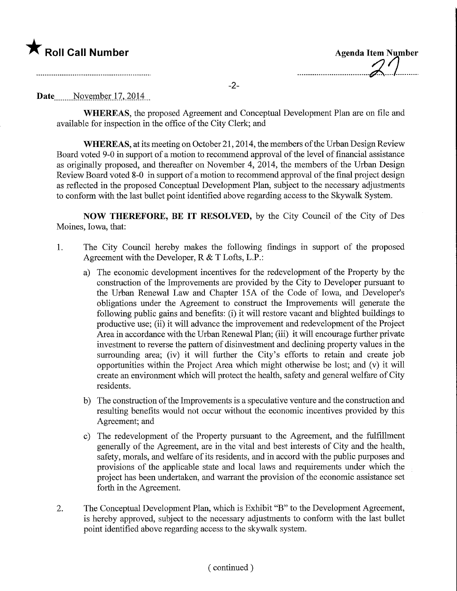

| <b>Agenda Item Number</b> |
|---------------------------|
|                           |
|                           |

.........

-2-

Date November 17, 2014

WHEREAS, the proposed Agreement and Conceptual Development Plan are on file and available for inspection in the office of the City Clerk; and

WHEREAS, at its meeting on October 21,2014, the members of the Urban Design Review Board voted 9-0 in support of a motion to recommend approval of the level of financial assistance as originally proposed, and thereafter on November 4, 2014, the members of the Urban Design Review Board voted 8-0 in support of a motion to recommend approval of the final project design as reflected in the proposed Conceptual Development Plan, subject to the necessary adjustments to conform with the last bullet point identified above regarding access to the Skywalk System.

NOW THEREFORE, BE IT RESOLVED, by the City Council of the City of Des Moines, Iowa, that:

- 1. The City Council hereby makes the following findings in support of the proposed Agreement with the Developer, R & T Lofts, L.P.:
	- a) The economic development incentives for the redevelopment of the Property by the construction of the Improvements are provided by the City to Developer pursuant to the Urban Renewal Law and Chapter 15A of the Code of Iowa, and Developer's obligations under the Agreement to construct the Improvements will generate the following public gains and benefits: (i) it will restore vacant and blighted buildings to productive use; (ii) it will advance the improvement and redevelopment of the Project Area in accordance with the Urban Renewal Plan; (iii) it will encourage further private investment to reverse the pattern of disinvestment and declining property values in the surrounding area; (iv) it will further the City's efforts to retain and create job opportunities within the Project Area which might otherwise be lost; and (v) it will create an environment which will protect the health, safety and general welfare of City residents.
	- b) The construction of the Improvements is a speculative venture and the construction and resulting benefits would not occur without the economic incentives provided by this Agreement; and
	- c) The redevelopment of the Property pursuant to the Agreement, and the fulfillment generally of the Agreement, are in the vital and best interests of City and the health, safety, morals, and welfare of its residents, and in accord with the public purposes and provisions of the applicable state and local laws and requirements under which the project has been undertaken, and warrant the provision of the economic assistance set forth in the Agreement.
- 2. The Conceptual Development Plan, which is Exhibit "B" to the Development Agreement, is hereby approved, subject to the necessary adjustments to conform with the last bullet point identified above regarding access to the skywalk system.